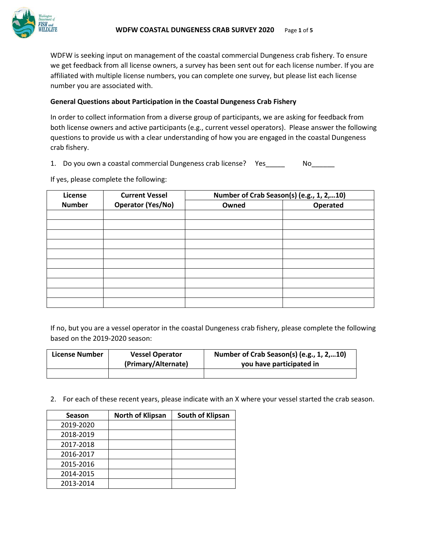

WDFW is seeking input on management of the coastal commercial Dungeness crab fishery. To ensure we get feedback from all license owners, a survey has been sent out for each license number. If you are affiliated with multiple license numbers, you can complete one survey, but please list each license number you are associated with.

### **General Questions about Participation in the Coastal Dungeness Crab Fishery**

In order to collect information from a diverse group of participants, we are asking for feedback from both license owners and active participants (e.g., current vessel operators). Please answer the following questions to provide us with a clear understanding of how you are engaged in the coastal Dungeness crab fishery.

1. Do you own a coastal commercial Dungeness crab license? Yes\_\_\_\_\_ No\_\_\_\_\_\_

If yes, please complete the following:

| License       | <b>Current Vessel</b>    | Number of Crab Season(s) (e.g., 1, 2,10) |          |  |
|---------------|--------------------------|------------------------------------------|----------|--|
| <b>Number</b> | <b>Operator (Yes/No)</b> | Owned                                    | Operated |  |
|               |                          |                                          |          |  |
|               |                          |                                          |          |  |
|               |                          |                                          |          |  |
|               |                          |                                          |          |  |
|               |                          |                                          |          |  |
|               |                          |                                          |          |  |
|               |                          |                                          |          |  |
|               |                          |                                          |          |  |
|               |                          |                                          |          |  |
|               |                          |                                          |          |  |

If no, but you are a vessel operator in the coastal Dungeness crab fishery, please complete the following based on the 2019-2020 season:

| License Number | <b>Vessel Operator</b> | Number of Crab Season(s) (e.g., 1, 2,10) |
|----------------|------------------------|------------------------------------------|
|                | (Primary/Alternate)    | you have participated in                 |
|                |                        |                                          |

2. For each of these recent years, please indicate with an X where your vessel started the crab season.

| <b>Season</b> | <b>North of Klipsan</b> | South of Klipsan |
|---------------|-------------------------|------------------|
| 2019-2020     |                         |                  |
| 2018-2019     |                         |                  |
| 2017-2018     |                         |                  |
| 2016-2017     |                         |                  |
| 2015-2016     |                         |                  |
| 2014-2015     |                         |                  |
| 2013-2014     |                         |                  |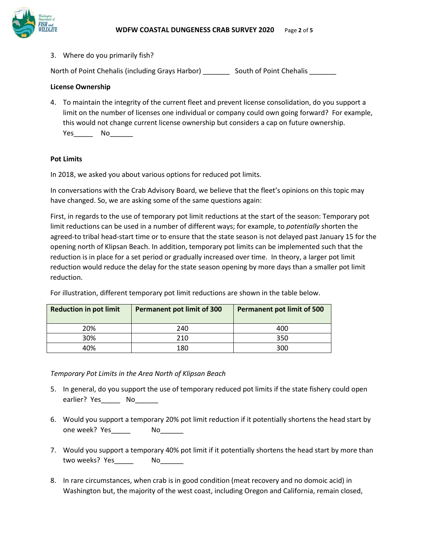

3. Where do you primarily fish?

North of Point Chehalis (including Grays Harbor) \_\_\_\_\_\_\_\_\_ South of Point Chehalis

# **License Ownership**

4. To maintain the integrity of the current fleet and prevent license consolidation, do you support a limit on the number of licenses one individual or company could own going forward? For example, this would not change current license ownership but considers a cap on future ownership. Yes\_\_\_\_\_ No\_\_\_\_\_\_

## **Pot Limits**

In 2018, we asked you about various options for reduced pot limits.

In conversations with the Crab Advisory Board, we believe that the fleet's opinions on this topic may have changed. So, we are asking some of the same questions again:

First, in regards to the use of temporary pot limit reductions at the start of the season: Temporary pot limit reductions can be used in a number of different ways; for example, to *potentially* shorten the agreed-to tribal head-start time or to ensure that the state season is not delayed past January 15 for the opening north of Klipsan Beach. In addition, temporary pot limits can be implemented such that the reduction is in place for a set period or gradually increased over time. In theory, a larger pot limit reduction would reduce the delay for the state season opening by more days than a smaller pot limit reduction.

For illustration, different temporary pot limit reductions are shown in the table below.

| <b>Reduction in pot limit</b> | <b>Permanent pot limit of 300</b> | <b>Permanent pot limit of 500</b> |  |
|-------------------------------|-----------------------------------|-----------------------------------|--|
| 20%                           | 240                               | 400                               |  |
| 30%                           | 210                               | 350                               |  |
| 4በ%                           | 180                               | 300                               |  |

*Temporary Pot Limits in the Area North of Klipsan Beach*

- 5. In general, do you support the use of temporary reduced pot limits if the state fishery could open earlier? Yes\_\_\_\_\_\_ No\_\_\_\_\_\_
- 6. Would you support a temporary 20% pot limit reduction if it potentially shortens the head start by one week? Yes\_\_\_\_\_\_\_ No\_\_\_\_\_\_
- 7. Would you support a temporary 40% pot limit if it potentially shortens the head start by more than two weeks? Yes \_\_\_\_\_\_\_ No
- 8. In rare circumstances, when crab is in good condition (meat recovery and no domoic acid) in Washington but, the majority of the west coast, including Oregon and California, remain closed,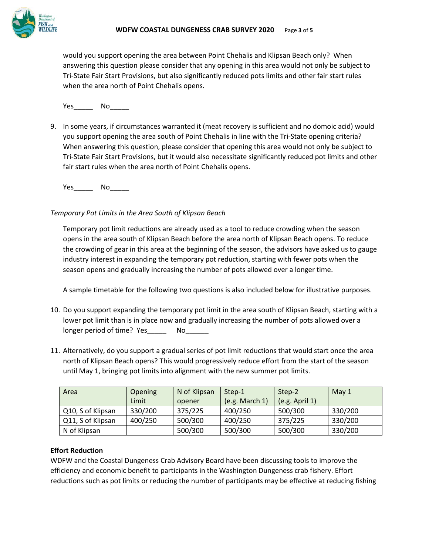

would you support opening the area between Point Chehalis and Klipsan Beach only? When answering this question please consider that any opening in this area would not only be subject to Tri-State Fair Start Provisions, but also significantly reduced pots limits and other fair start rules when the area north of Point Chehalis opens.

Yes\_\_\_\_\_ No\_\_\_\_\_

9. In some years, if circumstances warranted it (meat recovery is sufficient and no domoic acid) would you support opening the area south of Point Chehalis in line with the Tri-State opening criteria? When answering this question, please consider that opening this area would not only be subject to Tri-State Fair Start Provisions, but it would also necessitate significantly reduced pot limits and other fair start rules when the area north of Point Chehalis opens.

Yes\_\_\_\_\_ No\_\_\_\_\_

## *Temporary Pot Limits in the Area South of Klipsan Beach*

Temporary pot limit reductions are already used as a tool to reduce crowding when the season opens in the area south of Klipsan Beach before the area north of Klipsan Beach opens. To reduce the crowding of gear in this area at the beginning of the season, the advisors have asked us to gauge industry interest in expanding the temporary pot reduction, starting with fewer pots when the season opens and gradually increasing the number of pots allowed over a longer time.

A sample timetable for the following two questions is also included below for illustrative purposes.

- 10. Do you support expanding the temporary pot limit in the area south of Klipsan Beach, starting with a lower pot limit than is in place now and gradually increasing the number of pots allowed over a longer period of time? Yes\_\_\_\_\_\_ No\_\_\_\_\_\_
- 11. Alternatively, do you support a gradual series of pot limit reductions that would start once the area north of Klipsan Beach opens? This would progressively reduce effort from the start of the season until May 1, bringing pot limits into alignment with the new summer pot limits.

| Area              | Opening | N of Klipsan | Step-1         | Step-2         | May $1$ |
|-------------------|---------|--------------|----------------|----------------|---------|
|                   | Limit   | opener       | (e.g. March 1) | (e.g. April 1) |         |
| Q10, S of Klipsan | 330/200 | 375/225      | 400/250        | 500/300        | 330/200 |
| Q11, S of Klipsan | 400/250 | 500/300      | 400/250        | 375/225        | 330/200 |
| N of Klipsan      |         | 500/300      | 500/300        | 500/300        | 330/200 |

## **Effort Reduction**

WDFW and the Coastal Dungeness Crab Advisory Board have been discussing tools to improve the efficiency and economic benefit to participants in the Washington Dungeness crab fishery. Effort reductions such as pot limits or reducing the number of participants may be effective at reducing fishing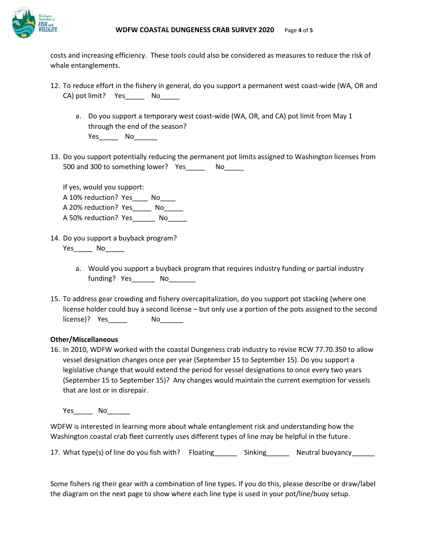

costs and increasing efficiency. These tools could also be considered as measures to reduce the risk of whale entanglements.

- 12. To reduce effort in the fishery in general, do you support a permanent west coast-wide (WA, OR and CA) pot limit? Yes\_\_\_\_\_\_\_ No\_\_\_\_
	- a. Do you support a temporary west coast-wide (WA, OR, and CA) pot limit from May 1 through the end of the season? Yes\_\_\_\_\_\_\_\_ No\_\_\_\_\_\_\_
- 13. Do you support potentially reducing the permanent pot limits assigned to Washington licenses from 500 and 300 to something lower? Yes No

If yes, would you support: A 10% reduction? Yes No A 20% reduction? Yes\_\_\_\_\_ No\_\_\_\_\_ A 50% reduction? Yes\_\_\_\_\_\_\_ No\_\_\_\_\_

- 14. Do you support a buyback program? Yes\_\_\_\_\_\_\_ No\_\_\_\_\_\_\_
	- a. Would you support a buyback program that requires industry funding or partial industry funding? Yes\_\_\_\_\_\_\_ No\_\_\_\_\_\_\_
- 15. To address gear crowding and fishery overcapitalization, do you support pot stacking (where one license holder could buy a second license – but only use a portion of the pots assigned to the second license)? Yes No

## **Other/Miscellaneous**

16. In 2010, WDFW worked with the coastal Dungeness crab industry to revise RCW 77.70.350 to allow vessel designation changes once per year (September 15 to September 15). Do you support a legislative change that would extend the period for vessel designations to once every two years (September 15 to September 15)? Any changes would maintain the current exemption for vessels that are lost or in disrepair.

Yes\_\_\_\_\_\_ No\_\_\_\_\_\_\_

WDFW is interested in learning more about whale entanglement risk and understanding how the Washington coastal crab fleet currently uses different types of line may be helpful in the future.

| 17. What type(s) of line do you fish with? Floating |  | Sinking | Neutral buoyancy_______ |
|-----------------------------------------------------|--|---------|-------------------------|
|-----------------------------------------------------|--|---------|-------------------------|

Some fishers rig their gear with a combination of line types. If you do this, please describe or draw/label the diagram on the next page to show where each line type is used in your pot/line/buoy setup.